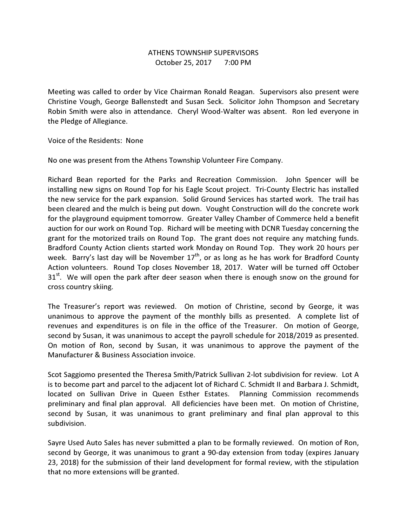## ATHENS TOWNSHIP SUPERVISORS October 25, 2017 7:00 PM

Meeting was called to order by Vice Chairman Ronald Reagan. Supervisors also present were Christine Vough, George Ballenstedt and Susan Seck. Solicitor John Thompson and Secretary Robin Smith were also in attendance. Cheryl Wood-Walter was absent. Ron led everyone in the Pledge of Allegiance.

Voice of the Residents: None

No one was present from the Athens Township Volunteer Fire Company.

Richard Bean reported for the Parks and Recreation Commission. John Spencer will be installing new signs on Round Top for his Eagle Scout project. Tri-County Electric has installed the new service for the park expansion. Solid Ground Services has started work. The trail has been cleared and the mulch is being put down. Vought Construction will do the concrete work for the playground equipment tomorrow. Greater Valley Chamber of Commerce held a benefit auction for our work on Round Top. Richard will be meeting with DCNR Tuesday concerning the grant for the motorized trails on Round Top. The grant does not require any matching funds. Bradford County Action clients started work Monday on Round Top. They work 20 hours per week. Barry's last day will be November  $17<sup>th</sup>$ , or as long as he has work for Bradford County Action volunteers. Round Top closes November 18, 2017. Water will be turned off October  $31<sup>st</sup>$ . We will open the park after deer season when there is enough snow on the ground for cross country skiing.

The Treasurer's report was reviewed. On motion of Christine, second by George, it was unanimous to approve the payment of the monthly bills as presented. A complete list of revenues and expenditures is on file in the office of the Treasurer. On motion of George, second by Susan, it was unanimous to accept the payroll schedule for 2018/2019 as presented. On motion of Ron, second by Susan, it was unanimous to approve the payment of the Manufacturer & Business Association invoice.

Scot Saggiomo presented the Theresa Smith/Patrick Sullivan 2-lot subdivision for review. Lot A is to become part and parcel to the adjacent lot of Richard C. Schmidt II and Barbara J. Schmidt, located on Sullivan Drive in Queen Esther Estates. Planning Commission recommends preliminary and final plan approval. All deficiencies have been met. On motion of Christine, second by Susan, it was unanimous to grant preliminary and final plan approval to this subdivision.

Sayre Used Auto Sales has never submitted a plan to be formally reviewed. On motion of Ron, second by George, it was unanimous to grant a 90-day extension from today (expires January 23, 2018) for the submission of their land development for formal review, with the stipulation that no more extensions will be granted.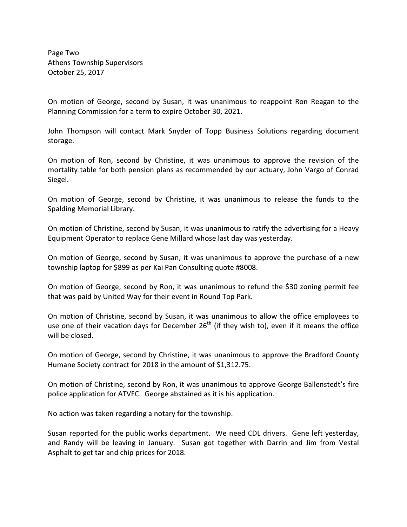Page Two Athens Township Supervisors October 25, 2017

On motion of George, second by Susan, it was unanimous to reappoint Ron Reagan to the Planning Commission for a term to expire October 30, 2021.

John Thompson will contact Mark Snyder of Topp Business Solutions regarding document storage.

On motion of Ron, second by Christine, it was unanimous to approve the revision of the mortality table for both pension plans as recommended by our actuary, John Vargo of Conrad Siegel.

On motion of George, second by Christine, it was unanimous to release the funds to the Spalding Memorial Library.

On motion of Christine, second by Susan, it was unanimous to ratify the advertising for a Heavy Equipment Operator to replace Gene Millard whose last day was yesterday.

On motion of George, second by Susan, it was unanimous to approve the purchase of a new township laptop for \$899 as per Kai Pan Consulting quote #8008.

On motion of George, second by Ron, it was unanimous to refund the \$30 zoning permit fee that was paid by United Way for their event in Round Top Park.

On motion of Christine, second by Susan, it was unanimous to allow the office employees to use one of their vacation days for December  $26<sup>th</sup>$  (if they wish to), even if it means the office will be closed.

On motion of George, second by Christine, it was unanimous to approve the Bradford County Humane Society contract for 2018 in the amount of \$1,312.75.

On motion of Christine, second by Ron, it was unanimous to approve George Ballenstedt's fire police application for ATVFC. George abstained as it is his application.

No action was taken regarding a notary for the township.

Susan reported for the public works department. We need CDL drivers. Gene left yesterday, and Randy will be leaving in January. Susan got together with Darrin and Jim from Vestal Asphalt to get tar and chip prices for 2018.